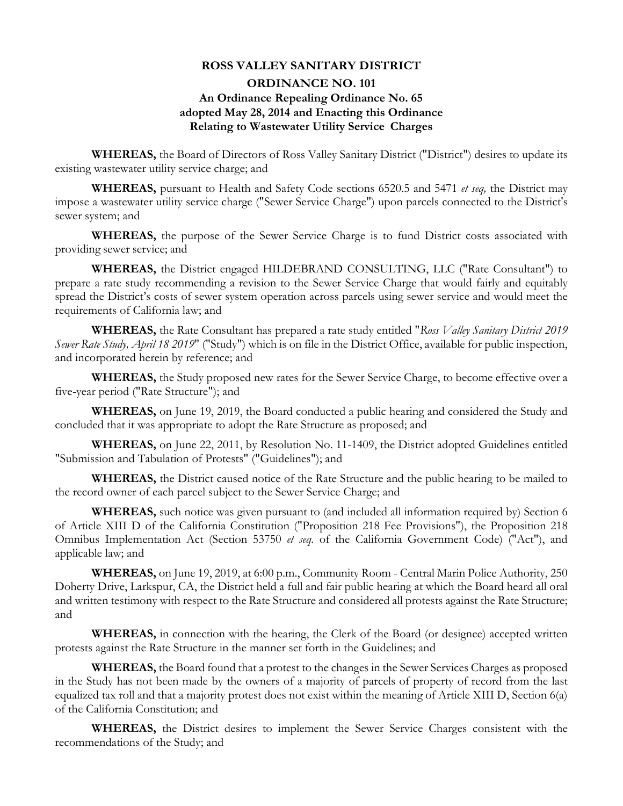#### **ROSS VALLEY SANITARY DISTRICT**

# **ORDINANCE NO. 101 An Ordinance Repealing Ordinance No. 65 adopted May 28, 2014 and Enacting this Ordinance Relating to Wastewater Utility Service Charges**

**WHEREAS,** the Board of Directors of Ross Valley Sanitary District ("District") desires to update its existing wastewater utility service charge; and

**WHEREAS,** pursuant to Health and Safety Code sections 6520.5 and 5471 *et seq,* the District may impose a wastewater utility service charge ("Sewer Service Charge") upon parcels connected to the District's sewer system; and

**WHEREAS,** the purpose of the Sewer Service Charge is to fund District costs associated with providing sewer service; and

**WHEREAS,** the District engaged HILDEBRAND CONSULTING, LLC ("Rate Consultant") to prepare a rate study recommending a revision to the Sewer Service Charge that would fairly and equitably spread the District's costs of sewer system operation across parcels using sewer service and would meet the requirements of California law; and

**WHEREAS,** the Rate Consultant has prepared a rate study entitled "*Ross Valley Sanitary District 2019 Sewer Rate Study, April 18 2019*" ("Study") which is on file in the District Office, available for public inspection, and incorporated herein by reference; and

**WHEREAS,** the Study proposed new rates for the Sewer Service Charge, to become effective over a five-year period ("Rate Structure"); and

**WHEREAS,** on June 19, 2019, the Board conducted a public hearing and considered the Study and concluded that it was appropriate to adopt the Rate Structure as proposed; and

**WHEREAS,** on June 22, 2011, by Resolution No. 11-1409, the District adopted Guidelines entitled "Submission and Tabulation of Protests" ("Guidelines"); and

**WHEREAS,** the District caused notice of the Rate Structure and the public hearing to be mailed to the record owner of each parcel subject to the Sewer Service Charge; and

**WHEREAS,** such notice was given pursuant to (and included all information required by) Section 6 of Article XIII D of the California Constitution ("Proposition 218 Fee Provisions"), the Proposition 218 Omnibus Implementation Act (Section 53750 *et seq.* of the California Government Code) ("Act"), and applicable law; and

**WHEREAS,** on June 19, 2019, at 6:00 p.m., Community Room - Central Marin Police Authority, 250 Doherty Drive, Larkspur, CA, the District held a full and fair public hearing at which the Board heard all oral and written testimony with respect to the Rate Structure and considered all protests against the Rate Structure; and

**WHEREAS,** in connection with the hearing, the Clerk of the Board (or designee) accepted written protests against the Rate Structure in the manner set forth in the Guidelines; and

**WHEREAS,** the Board found that a protest to the changes in the Sewer Services Charges as proposed in the Study has not been made by the owners of a majority of parcels of property of record from the last equalized tax roll and that a majority protest does not exist within the meaning of Article XIII D, Section 6(a) of the California Constitution; and

**WHEREAS,** the District desires to implement the Sewer Service Charges consistent with the recommendations of the Study; and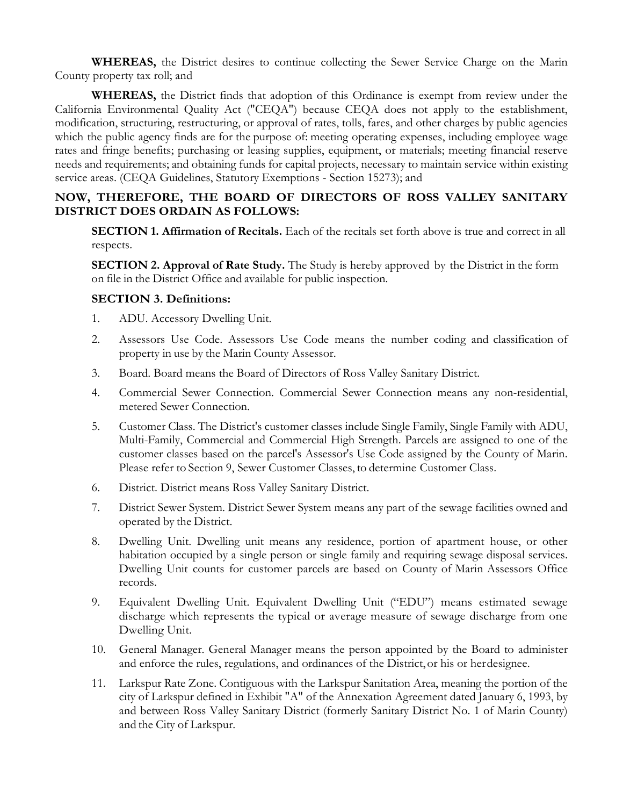**WHEREAS,** the District desires to continue collecting the Sewer Service Charge on the Marin County property tax roll; and

**WHEREAS,** the District finds that adoption of this Ordinance is exempt from review under the California Environmental Quality Act ("CEQA") because CEQA does not apply to the establishment, modification, structuring, restructuring, or approval of rates, tolls, fares, and other charges by public agencies which the public agency finds are for the purpose of: meeting operating expenses, including employee wage rates and fringe benefits; purchasing or leasing supplies, equipment, or materials; meeting financial reserve needs and requirements; and obtaining funds for capital projects, necessary to maintain service within existing service areas. (CEQA Guidelines, Statutory Exemptions - Section 15273); and

## **NOW, THEREFORE, THE BOARD OF DIRECTORS OF ROSS VALLEY SANITARY DISTRICT DOES ORDAIN AS FOLLOWS:**

**SECTION 1. Affirmation of Recitals.** Each of the recitals set forth above is true and correct in all respects.

**SECTION 2. Approval of Rate Study.** The Study is hereby approved by the District in the form on file in the District Office and available for public inspection.

## **SECTION 3. Definitions:**

- 1. ADU. Accessory Dwelling Unit.
- 2. Assessors Use Code. Assessors Use Code means the number coding and classification of property in use by the Marin County Assessor.
- 3. Board. Board means the Board of Directors of Ross Valley Sanitary District.
- 4. Commercial Sewer Connection. Commercial Sewer Connection means any non-residential, metered Sewer Connection.
- 5. Customer Class. The District's customer classes include Single Family, Single Family with ADU, Multi-Family, Commercial and Commercial High Strength. Parcels are assigned to one of the customer classes based on the parcel's Assessor's Use Code assigned by the County of Marin. Please refer to Section 9, Sewer Customer Classes, to determine Customer Class.
- 6. District. District means Ross Valley Sanitary District.
- 7. District Sewer System. District Sewer System means any part of the sewage facilities owned and operated by the District.
- 8. Dwelling Unit. Dwelling unit means any residence, portion of apartment house, or other habitation occupied by a single person or single family and requiring sewage disposal services. Dwelling Unit counts for customer parcels are based on County of Marin Assessors Office records.
- 9. Equivalent Dwelling Unit. Equivalent Dwelling Unit ("EDU") means estimated sewage discharge which represents the typical or average measure of sewage discharge from one Dwelling Unit.
- 10. General Manager. General Manager means the person appointed by the Board to administer and enforce the rules, regulations, and ordinances of the District, or his or herdesignee.
- 11. Larkspur Rate Zone. Contiguous with the Larkspur Sanitation Area, meaning the portion of the city of Larkspur defined in Exhibit "A" of the Annexation Agreement dated January 6, 1993, by and between Ross Valley Sanitary District (formerly Sanitary District No. 1 of Marin County) and the City of Larkspur.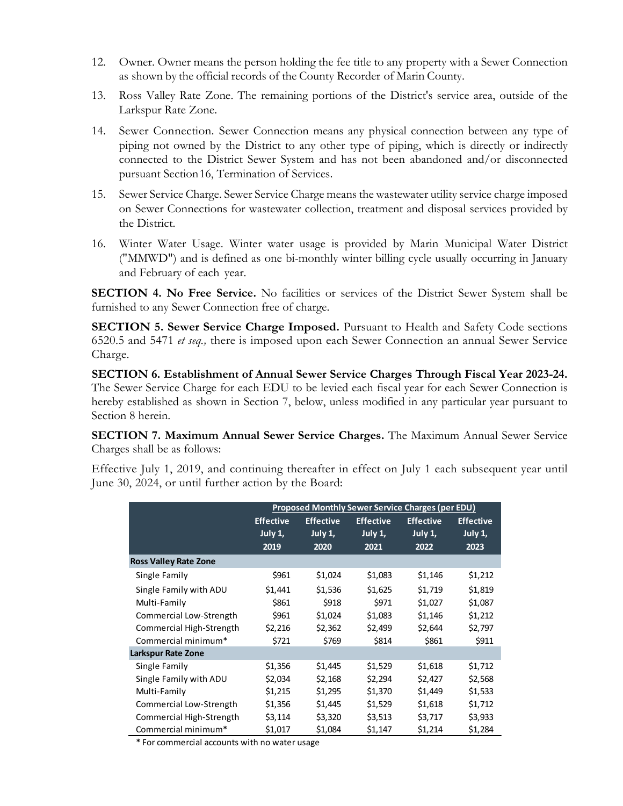- 12. Owner. Owner means the person holding the fee title to any property with a Sewer Connection as shown by the official records of the County Recorder of Marin County.
- 13. Ross Valley Rate Zone. The remaining portions of the District's service area, outside of the Larkspur Rate Zone.
- 14. Sewer Connection. Sewer Connection means any physical connection between any type of piping not owned by the District to any other type of piping, which is directly or indirectly connected to the District Sewer System and has not been abandoned and/or disconnected pursuant Section16, Termination of Services.
- 15. Sewer Service Charge. Sewer Service Charge means the wastewater utility service charge imposed on Sewer Connections for wastewater collection, treatment and disposal services provided by the District.
- 16. Winter Water Usage. Winter water usage is provided by Marin Municipal Water District ("MMWD") and is defined as one bi-monthly winter billing cycle usually occurring in January and February of each year.

**SECTION 4. No Free Service.** No facilities or services of the District Sewer System shall be furnished to any Sewer Connection free of charge.

**SECTION 5. Sewer Service Charge Imposed.** Pursuant to Health and Safety Code sections 6520.5 and 5471 *et seq.,* there is imposed upon each Sewer Connection an annual Sewer Service Charge.

**SECTION 6. Establishment of Annual Sewer Service Charges Through Fiscal Year 2023-24.**  The Sewer Service Charge for each EDU to be levied each fiscal year for each Sewer Connection is hereby established as shown in Section 7, below, unless modified in any particular year pursuant to Section 8 herein.

**SECTION 7. Maximum Annual Sewer Service Charges.** The Maximum Annual Sewer Service Charges shall be as follows:

Effective July 1, 2019, and continuing thereafter in effect on July 1 each subsequent year until June 30, 2024, or until further action by the Board:

|                              | <b>Proposed Monthly Sewer Service Charges (per EDU)</b> |                                        |                                     |                                     |                                     |
|------------------------------|---------------------------------------------------------|----------------------------------------|-------------------------------------|-------------------------------------|-------------------------------------|
|                              | <b>Effective</b><br>July 1,<br>2019                     | <b>Effective</b><br>July $1$ ,<br>2020 | <b>Effective</b><br>July 1,<br>2021 | <b>Effective</b><br>July 1,<br>2022 | <b>Effective</b><br>July 1,<br>2023 |
| <b>Ross Valley Rate Zone</b> |                                                         |                                        |                                     |                                     |                                     |
| Single Family                | \$961                                                   | \$1,024                                | \$1,083                             | \$1,146                             | \$1,212                             |
| Single Family with ADU       | \$1,441                                                 | \$1,536                                | \$1,625                             | \$1,719                             | \$1,819                             |
| Multi-Family                 | \$861                                                   | \$918                                  | \$971                               | \$1,027                             | \$1,087                             |
| Commercial Low-Strength      | \$961                                                   | \$1,024                                | \$1,083                             | \$1,146                             | \$1,212                             |
| Commercial High-Strength     | \$2,216                                                 | \$2,362                                | \$2,499                             | \$2,644                             | \$2,797                             |
| Commercial minimum*          | \$721                                                   | \$769                                  | \$814                               | \$861                               | \$911                               |
| <b>Larkspur Rate Zone</b>    |                                                         |                                        |                                     |                                     |                                     |
| Single Family                | \$1,356                                                 | \$1,445                                | \$1,529                             | \$1,618                             | \$1,712                             |
| Single Family with ADU       | \$2,034                                                 | \$2,168                                | \$2,294                             | \$2,427                             | \$2,568                             |
| Multi-Family                 | \$1,215                                                 | \$1,295                                | \$1,370                             | \$1,449                             | \$1,533                             |
| Commercial Low-Strength      | \$1,356                                                 | \$1,445                                | \$1,529                             | \$1,618                             | \$1,712                             |
| Commercial High-Strength     | \$3,114                                                 | \$3,320                                | \$3,513                             | \$3,717                             | \$3,933                             |
| Commercial minimum*          | \$1,017                                                 | \$1,084                                | \$1,147                             | \$1,214                             | \$1,284                             |

\* For commercial accounts with no water usage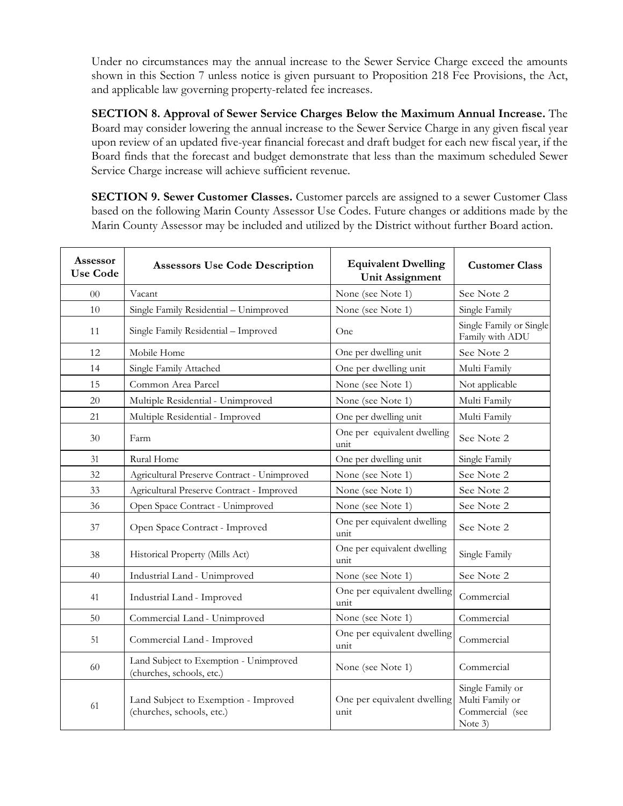Under no circumstances may the annual increase to the Sewer Service Charge exceed the amounts shown in this Section 7 unless notice is given pursuant to Proposition 218 Fee Provisions, the Act, and applicable law governing property-related fee increases.

**SECTION 8. Approval of Sewer Service Charges Below the Maximum Annual Increase.** The Board may consider lowering the annual increase to the Sewer Service Charge in any given fiscal year upon review of an updated five-year financial forecast and draft budget for each new fiscal year, if the Board finds that the forecast and budget demonstrate that less than the maximum scheduled Sewer Service Charge increase will achieve sufficient revenue.

**SECTION 9. Sewer Customer Classes.** Customer parcels are assigned to a sewer Customer Class based on the following Marin County Assessor Use Codes. Future changes or additions made by the Marin County Assessor may be included and utilized by the District without further Board action.

| <b>Assessor</b><br><b>Use Code</b> | <b>Assessors Use Code Description</b>                               | <b>Equivalent Dwelling</b><br><b>Unit Assignment</b> | <b>Customer Class</b>                                             |
|------------------------------------|---------------------------------------------------------------------|------------------------------------------------------|-------------------------------------------------------------------|
| 0 <sup>0</sup>                     | Vacant                                                              | None (see Note 1)                                    | See Note 2                                                        |
| 10                                 | Single Family Residential - Unimproved                              | None (see Note 1)                                    | Single Family                                                     |
| 11                                 | Single Family Residential - Improved                                | One                                                  | Single Family or Single<br>Family with ADU                        |
| 12                                 | Mobile Home                                                         | One per dwelling unit                                | See Note 2                                                        |
| 14                                 | Single Family Attached                                              | One per dwelling unit                                | Multi Family                                                      |
| 15                                 | Common Area Parcel                                                  | None (see Note 1)                                    | Not applicable                                                    |
| 20                                 | Multiple Residential - Unimproved                                   | None (see Note 1)                                    | Multi Family                                                      |
| 21                                 | Multiple Residential - Improved                                     | One per dwelling unit                                | Multi Family                                                      |
| 30                                 | One per equivalent dwelling<br>Farm<br>unit                         |                                                      | See Note 2                                                        |
| 31                                 | Rural Home                                                          | One per dwelling unit                                | Single Family                                                     |
| 32                                 | Agricultural Preserve Contract - Unimproved                         | None (see Note 1)                                    | See Note 2                                                        |
| 33                                 | Agricultural Preserve Contract - Improved                           | None (see Note 1)                                    | See Note 2                                                        |
| 36                                 | Open Space Contract - Unimproved                                    | None (see Note 1)                                    | See Note 2                                                        |
| 37                                 | Open Space Contract - Improved                                      | One per equivalent dwelling<br>unit                  | See Note 2                                                        |
| 38                                 | Historical Property (Mills Act)                                     | One per equivalent dwelling<br>unit                  | Single Family                                                     |
| 40                                 | Industrial Land - Unimproved                                        | None (see Note 1)                                    | See Note 2                                                        |
| 41                                 | Industrial Land - Improved                                          | One per equivalent dwelling<br>unit                  | Commercial                                                        |
| 50                                 | Commercial Land - Unimproved                                        | None (see Note 1)                                    | Commercial                                                        |
| 51                                 | Commercial Land - Improved                                          | One per equivalent dwelling<br>unit                  | Commercial                                                        |
| 60                                 | Land Subject to Exemption - Unimproved<br>(churches, schools, etc.) | None (see Note 1)                                    | Commercial                                                        |
| 61                                 | Land Subject to Exemption - Improved<br>(churches, schools, etc.)   | One per equivalent dwelling<br>unit                  | Single Family or<br>Multi Family or<br>Commercial (see<br>Note 3) |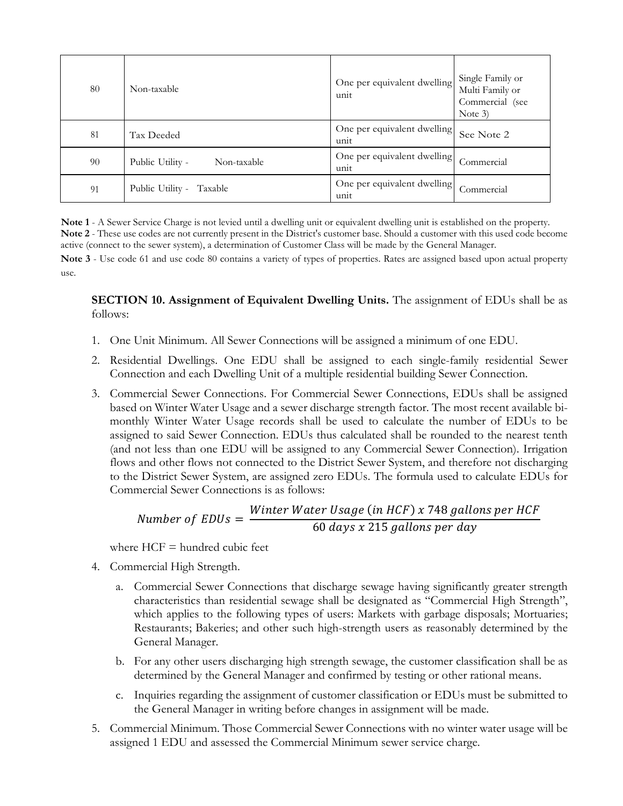| 80 | Non-taxable                     | One per equivalent dwelling<br>unit | Single Family or<br>Multi Family or<br>Commercial (see<br>Note $3)$ |
|----|---------------------------------|-------------------------------------|---------------------------------------------------------------------|
| 81 | Tax Deeded                      | One per equivalent dwelling<br>unit | See Note 2                                                          |
| 90 | Public Utility -<br>Non-taxable | One per equivalent dwelling<br>unit | Commercial                                                          |
| 91 | Public Utility -<br>Taxable     | One per equivalent dwelling<br>unit | Commercial                                                          |

**Note 1** - A Sewer Service Charge is not levied until a dwelling unit or equivalent dwelling unit is established on the property. **Note 2** - These use codes are not currently present in the District's customer base. Should a customer with this used code become active (connect to the sewer system), a determination of Customer Class will be made by the General Manager.

**Note 3** - Use code 61 and use code 80 contains a variety of types of properties. Rates are assigned based upon actual property use.

#### **SECTION 10. Assignment of Equivalent Dwelling Units.** The assignment of EDUs shall be as follows:

- 1. One Unit Minimum. All Sewer Connections will be assigned a minimum of one EDU.
- 2. Residential Dwellings. One EDU shall be assigned to each single-family residential Sewer Connection and each Dwelling Unit of a multiple residential building Sewer Connection.
- 3. Commercial Sewer Connections. For Commercial Sewer Connections, EDUs shall be assigned based on Winter Water Usage and a sewer discharge strength factor. The most recent available bimonthly Winter Water Usage records shall be used to calculate the number of EDUs to be assigned to said Sewer Connection. EDUs thus calculated shall be rounded to the nearest tenth (and not less than one EDU will be assigned to any Commercial Sewer Connection). Irrigation flows and other flows not connected to the District Sewer System, and therefore not discharging to the District Sewer System, are assigned zero EDUs. The formula used to calculate EDUs for Commercial Sewer Connections is as follows:

Number of EDUs = 
$$
\frac{Winter Water Usage (in HCF) x 748 gallons per HCF}{60 days x 215 gallons per day}
$$

where  $HCF =$  hundred cubic feet

- 4. Commercial High Strength.
	- a. Commercial Sewer Connections that discharge sewage having significantly greater strength characteristics than residential sewage shall be designated as "Commercial High Strength", which applies to the following types of users: Markets with garbage disposals; Mortuaries; Restaurants; Bakeries; and other such high-strength users as reasonably determined by the General Manager.
	- b. For any other users discharging high strength sewage, the customer classification shall be as determined by the General Manager and confirmed by testing or other rational means.
	- c. Inquiries regarding the assignment of customer classification or EDUs must be submitted to the General Manager in writing before changes in assignment will be made.
- 5. Commercial Minimum. Those Commercial Sewer Connections with no winter water usage will be assigned 1 EDU and assessed the Commercial Minimum sewer service charge.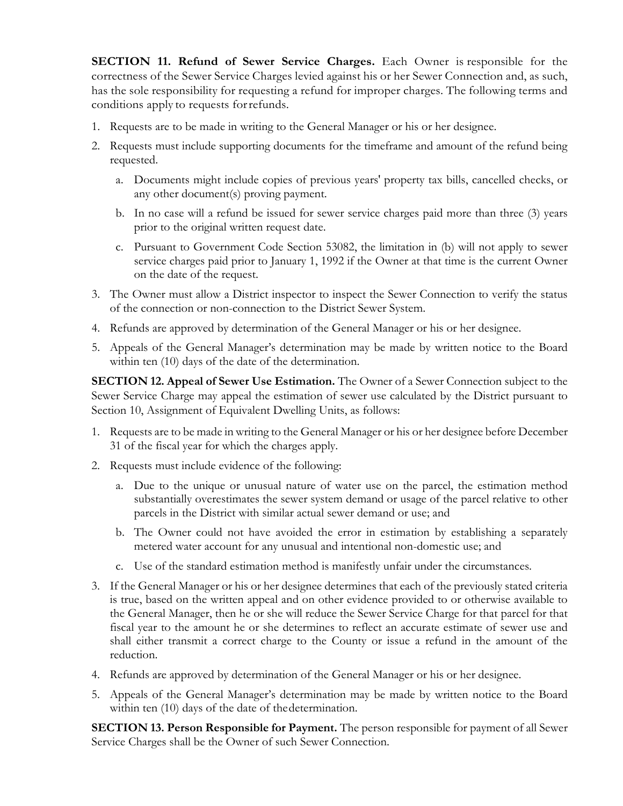**SECTION 11. Refund of Sewer Service Charges.** Each Owner is responsible for the correctness of the Sewer Service Charges levied against his or her Sewer Connection and, as such, has the sole responsibility for requesting a refund for improper charges. The following terms and conditions apply to requests forrefunds.

- 1. Requests are to be made in writing to the General Manager or his or her designee.
- 2. Requests must include supporting documents for the timeframe and amount of the refund being requested.
	- a. Documents might include copies of previous years' property tax bills, cancelled checks, or any other document(s) proving payment.
	- b. In no case will a refund be issued for sewer service charges paid more than three (3) years prior to the original written request date.
	- c. Pursuant to Government Code Section 53082, the limitation in (b) will not apply to sewer service charges paid prior to January 1, 1992 if the Owner at that time is the current Owner on the date of the request.
- 3. The Owner must allow a District inspector to inspect the Sewer Connection to verify the status of the connection or non-connection to the District Sewer System.
- 4. Refunds are approved by determination of the General Manager or his or her designee.
- 5. Appeals of the General Manager's determination may be made by written notice to the Board within ten  $(10)$  days of the date of the determination.

**SECTION 12. Appeal of Sewer Use Estimation.** The Owner of a Sewer Connection subject to the Sewer Service Charge may appeal the estimation of sewer use calculated by the District pursuant to Section 10, Assignment of Equivalent Dwelling Units, as follows:

- 1. Requests are to be made in writing to the General Manager or his or her designee before December 31 of the fiscal year for which the charges apply.
- 2. Requests must include evidence of the following:
	- a. Due to the unique or unusual nature of water use on the parcel, the estimation method substantially overestimates the sewer system demand or usage of the parcel relative to other parcels in the District with similar actual sewer demand or use; and
	- b. The Owner could not have avoided the error in estimation by establishing a separately metered water account for any unusual and intentional non-domestic use; and
	- c. Use of the standard estimation method is manifestly unfair under the circumstances.
- 3. If the General Manager or his or her designee determines that each of the previously stated criteria is true, based on the written appeal and on other evidence provided to or otherwise available to the General Manager, then he or she will reduce the Sewer Service Charge for that parcel for that fiscal year to the amount he or she determines to reflect an accurate estimate of sewer use and shall either transmit a correct charge to the County or issue a refund in the amount of the reduction.
- 4. Refunds are approved by determination of the General Manager or his or her designee.
- 5. Appeals of the General Manager's determination may be made by written notice to the Board within ten (10) days of the date of thedetermination.

**SECTION 13. Person Responsible for Payment.** The person responsible for payment of all Sewer Service Charges shall be the Owner of such Sewer Connection.